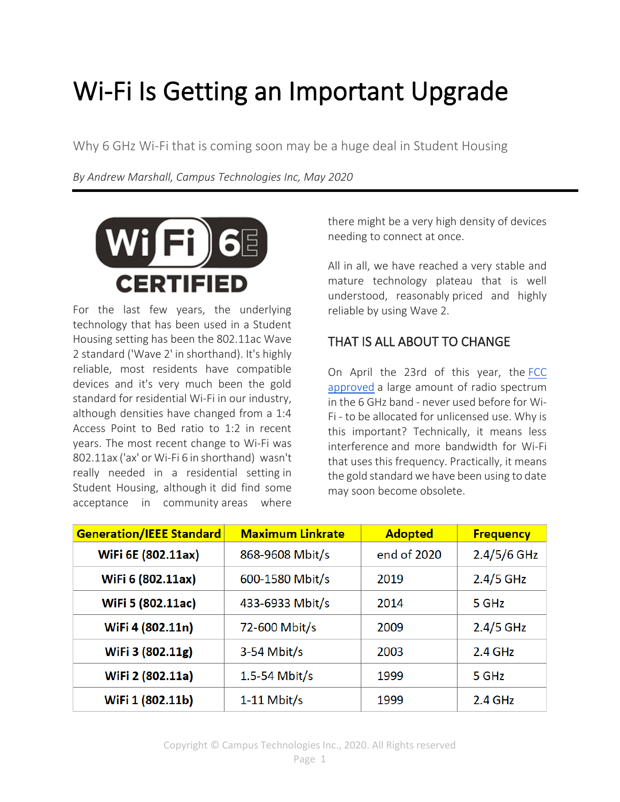## Wi-Fi Is Getting an Important Upgrade

Why 6 GHz Wi-Fi that is coming soon may be a huge deal in Student Housing

*By Andrew Marshall, Campus Technologies Inc, May 2020*



For the last few years, the underlying technology that has been used in a Student Housing setting has been the 802.11ac Wave 2 standard ('Wave 2' in shorthand). It's highly reliable, most residents have compatible devices and it's very much been the gold standard for residential Wi-Fi in our industry, although densities have changed from a 1:4 Access Point to Bed ratio to 1:2 in recent years. The most recent change to Wi-Fi was 802.11ax ('ax' or Wi-Fi 6 in shorthand) wasn't really needed in a residential setting in Student Housing, although it did find some acceptance in community areas where there might be a very high density of devices needing to connect at once.

All in all, we have reached a very stable and mature technology plateau that is well understood, reasonably priced and highly reliable by using Wave 2.

## THAT IS ALL ABOUT TO CHANGE

On April the 23rd of this year, the [FCC](https://docs.fcc.gov/public/attachments/DOC-363945A1.pdf)  [approved](https://docs.fcc.gov/public/attachments/DOC-363945A1.pdf) a large amount of radio spectrum in the 6 GHz band - never used before for Wi-Fi - to be allocated for unlicensed use. Why is this important? Technically, it means less interference and more bandwidth for Wi-Fi that uses this frequency. Practically, it means the gold standard we have been using to date may soon become obsolete.

| <b>Generation/IEEE Standard</b> | <b>Maximum Linkrate</b> | <b>Adopted</b> | <b>Frequency</b> |
|---------------------------------|-------------------------|----------------|------------------|
| WiFi 6E (802.11ax)              | 868-9608 Mbit/s         | end of 2020    | $2.4/5/6$ GHz    |
| WiFi 6 (802.11ax)               | 600-1580 Mbit/s         | 2019           | $2.4/5$ GHz      |
| WiFi 5 (802.11ac)               | 433-6933 Mbit/s         | 2014           | 5 GHz            |
| WiFi 4 (802.11n)                | 72-600 Mbit/s           | 2009           | $2.4/5$ GHz      |
| WiFi 3 (802.11g)                | $3-54$ Mbit/s           | 2003           | $2.4$ GHz        |
| WiFi 2 (802.11a)                | 1.5-54 Mbit/s           | 1999           | 5 GHz            |
| WiFi 1 (802.11b)                | $1-11$ Mbit/s           | 1999           | $2.4$ GHz        |